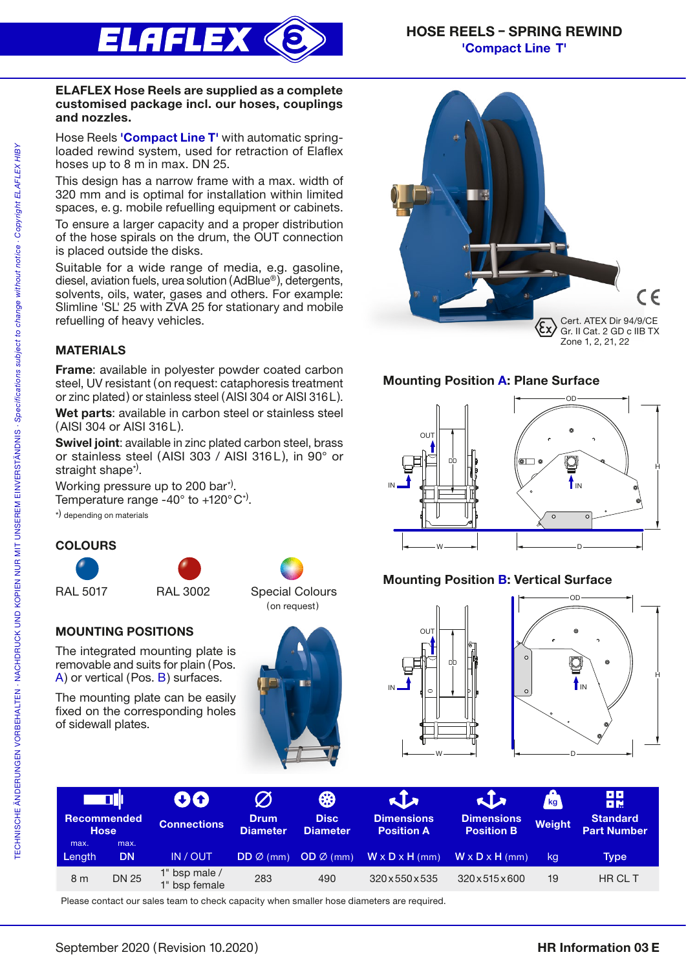

#### ELAFLEX Hose Reels are supplied as a complete customised package incl. our hoses, couplings and nozzles.

Hose Reels 'Compact Line T' with automatic springloaded rewind system, used for retraction of Elaflex hoses up to 8 m in max. DN 25.

This design has a narrow frame with a max. width of 320 mm and is optimal for installation within limited spaces, e.g. mobile refuelling equipment or cabinets.

To ensure a larger capacity and a proper distribution of the hose spirals on the drum, the OUT connection is placed outside the disks.

Suitable for a wide range of media, e.g. gasoline, diesel, aviation fuels, urea solution (AdBlue® ), detergents, solvents, oils, water, gases and others. For example: Slimline 'SL' 25 with ZVA 25 for stationary and mobile refuelling of heavy vehicles.

## MATERIALS

Frame: available in polyester powder coated carbon steel, UV resistant (on request: cataphoresis treatment or zinc plated) or stainless steel (AISI 304 or AISI 316L).

Wet parts: available in carbon steel or stainless steel (AISI 304 or AISI 316L).

Swivel joint: available in zinc plated carbon steel, brass or stainless steel (AISI 303 / AISI 316L), in 90° or straight shape<sup>\*)</sup>.

Working pressure up to 200 bar<sup>\*)</sup>. Temperature range -40 $^{\circ}$  to +120 $^{\circ}$ C<sup>\*)</sup>.

\*) depending on materials

### **COLOURS**



## MOUNTING POSITIONS

The integrated mounting plate is removable and suits for plain (Pos. A) or vertical (Pos. B) surfaces.

The mounting plate can be easily fixed on the corresponding holes of sidewall plates.







## Mounting Position A: Plane Surface



# Mounting Position B: Vertical Surface





| <b>Recommended</b><br><b>Hose</b> |                   | 80<br><b>Connections</b>         | $\varnothing$<br><b>Drum</b><br><b>Diameter</b> | ₩<br><b>Disc</b><br>Diameter | <b>KIA</b><br><b>Dimensions</b><br><b>Position A</b> | KIX<br><b>Dimensions</b><br><b>Position B</b> | kg <sub>1</sub><br><b>Weight</b> | <b>BB</b><br>日間<br><b>Standard</b><br><b>Part Number</b> |
|-----------------------------------|-------------------|----------------------------------|-------------------------------------------------|------------------------------|------------------------------------------------------|-----------------------------------------------|----------------------------------|----------------------------------------------------------|
| max.<br>Length                    | max.<br><b>DN</b> | IN / OUT                         | $DD \varnothing$ (mm)                           | $OD \emptyset$ (mm)          | $W \times D \times H$ (mm)                           | $W \times D \times H$ (mm)                    | kg                               | Type                                                     |
| 8 <sub>m</sub>                    | <b>DN 25</b>      | 1" bsp male $/$<br>1" bsp female | 283                                             | 490                          | 320 x 550 x 535                                      | 320x515x600                                   | 19                               | HR CL T                                                  |

Please contact our sales team to check capacity when smaller hose diameters are required.